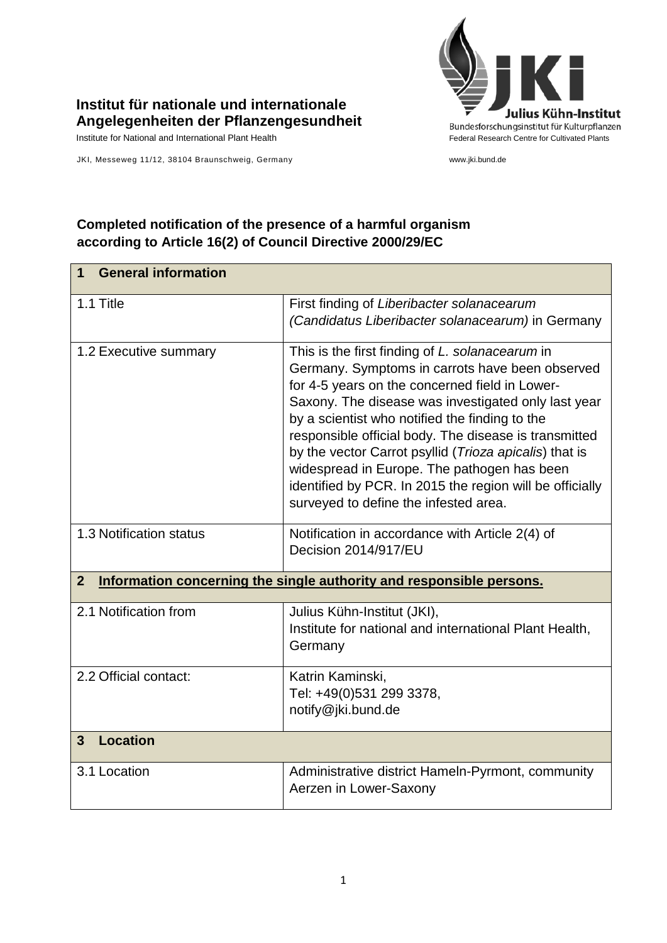

## **Institut für nationale und internationale Angelegenheiten der Pflanzengesundheit**

JKI, Messeweg 11/12, 38104 Braunschweig, Germany www.jki.bund.de

# **Completed notification of the presence of a harmful organism according to Article 16(2) of Council Directive 2000/29/EC**

| <b>General information</b><br>1                                                        |                                                                                                                                                                                                                                                                                                                                                                                                                                                                                                                                      |  |
|----------------------------------------------------------------------------------------|--------------------------------------------------------------------------------------------------------------------------------------------------------------------------------------------------------------------------------------------------------------------------------------------------------------------------------------------------------------------------------------------------------------------------------------------------------------------------------------------------------------------------------------|--|
| 1.1 Title                                                                              | First finding of Liberibacter solanacearum<br>(Candidatus Liberibacter solanacearum) in Germany                                                                                                                                                                                                                                                                                                                                                                                                                                      |  |
| 1.2 Executive summary                                                                  | This is the first finding of L. solanacearum in<br>Germany. Symptoms in carrots have been observed<br>for 4-5 years on the concerned field in Lower-<br>Saxony. The disease was investigated only last year<br>by a scientist who notified the finding to the<br>responsible official body. The disease is transmitted<br>by the vector Carrot psyllid (Trioza apicalis) that is<br>widespread in Europe. The pathogen has been<br>identified by PCR. In 2015 the region will be officially<br>surveyed to define the infested area. |  |
| 1.3 Notification status                                                                | Notification in accordance with Article 2(4) of<br>Decision 2014/917/EU                                                                                                                                                                                                                                                                                                                                                                                                                                                              |  |
| $\overline{2}$<br>Information concerning the single authority and responsible persons. |                                                                                                                                                                                                                                                                                                                                                                                                                                                                                                                                      |  |
| 2.1 Notification from                                                                  | Julius Kühn-Institut (JKI),<br>Institute for national and international Plant Health,<br>Germany                                                                                                                                                                                                                                                                                                                                                                                                                                     |  |
| 2.2 Official contact:                                                                  | Katrin Kaminski,<br>Tel: +49(0)531 299 3378,<br>notify@jki.bund.de                                                                                                                                                                                                                                                                                                                                                                                                                                                                   |  |
| <b>Location</b><br>3                                                                   |                                                                                                                                                                                                                                                                                                                                                                                                                                                                                                                                      |  |
| 3.1 Location                                                                           | Administrative district Hameln-Pyrmont, community<br>Aerzen in Lower-Saxony                                                                                                                                                                                                                                                                                                                                                                                                                                                          |  |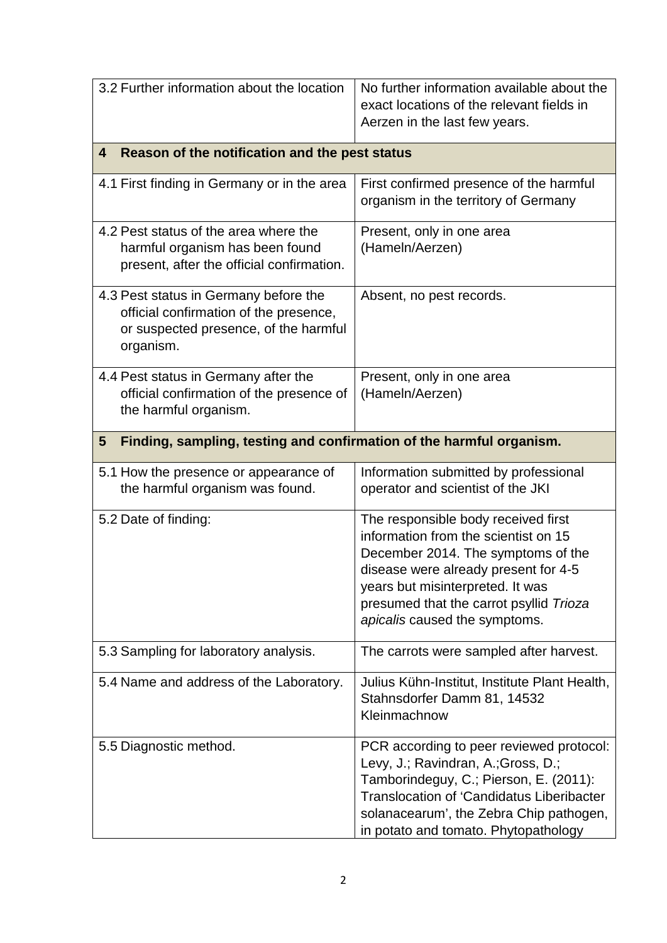| 3.2 Further information about the location                                                                                            | No further information available about the<br>exact locations of the relevant fields in<br>Aerzen in the last few years.                                                                                                                                                  |  |
|---------------------------------------------------------------------------------------------------------------------------------------|---------------------------------------------------------------------------------------------------------------------------------------------------------------------------------------------------------------------------------------------------------------------------|--|
| Reason of the notification and the pest status<br>4                                                                                   |                                                                                                                                                                                                                                                                           |  |
| 4.1 First finding in Germany or in the area                                                                                           | First confirmed presence of the harmful<br>organism in the territory of Germany                                                                                                                                                                                           |  |
| 4.2 Pest status of the area where the<br>harmful organism has been found<br>present, after the official confirmation.                 | Present, only in one area<br>(Hameln/Aerzen)                                                                                                                                                                                                                              |  |
| 4.3 Pest status in Germany before the<br>official confirmation of the presence,<br>or suspected presence, of the harmful<br>organism. | Absent, no pest records.                                                                                                                                                                                                                                                  |  |
| 4.4 Pest status in Germany after the<br>official confirmation of the presence of<br>the harmful organism.                             | Present, only in one area<br>(Hameln/Aerzen)                                                                                                                                                                                                                              |  |
| Finding, sampling, testing and confirmation of the harmful organism.<br>$5\phantom{1}$                                                |                                                                                                                                                                                                                                                                           |  |
| 5.1 How the presence or appearance of<br>the harmful organism was found.                                                              | Information submitted by professional<br>operator and scientist of the JKI                                                                                                                                                                                                |  |
| 5.2 Date of finding:                                                                                                                  | The responsible body received first<br>information from the scientist on 15<br>December 2014. The symptoms of the<br>disease were already present for 4-5<br>years but misinterpreted. It was<br>presumed that the carrot psyllid Trioza<br>apicalis caused the symptoms. |  |
| 5.3 Sampling for laboratory analysis.                                                                                                 | The carrots were sampled after harvest.                                                                                                                                                                                                                                   |  |
| 5.4 Name and address of the Laboratory.                                                                                               | Julius Kühn-Institut, Institute Plant Health,<br>Stahnsdorfer Damm 81, 14532<br>Kleinmachnow                                                                                                                                                                              |  |
| 5.5 Diagnostic method.                                                                                                                | PCR according to peer reviewed protocol:<br>Levy, J.; Ravindran, A.; Gross, D.;<br>Tamborindeguy, C.; Pierson, E. (2011):<br><b>Translocation of 'Candidatus Liberibacter</b><br>solanacearum', the Zebra Chip pathogen,<br>in potato and tomato. Phytopathology          |  |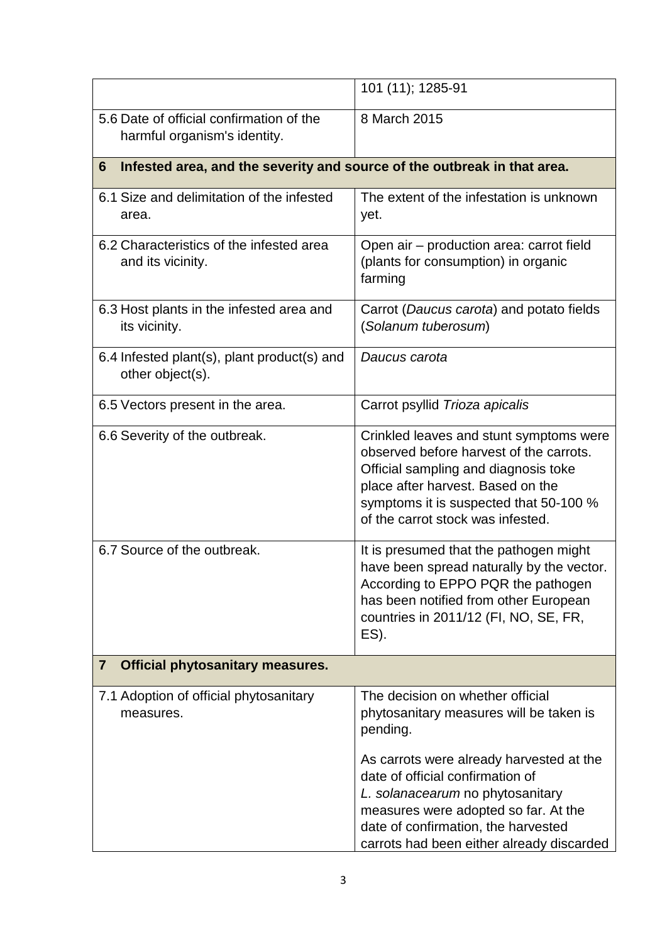|                                                                               | 101 (11); 1285-91                                                                                                                                                                                                                              |  |
|-------------------------------------------------------------------------------|------------------------------------------------------------------------------------------------------------------------------------------------------------------------------------------------------------------------------------------------|--|
| 5.6 Date of official confirmation of the<br>harmful organism's identity.      | 8 March 2015                                                                                                                                                                                                                                   |  |
| Infested area, and the severity and source of the outbreak in that area.<br>6 |                                                                                                                                                                                                                                                |  |
| 6.1 Size and delimitation of the infested<br>area.                            | The extent of the infestation is unknown<br>yet.                                                                                                                                                                                               |  |
| 6.2 Characteristics of the infested area<br>and its vicinity.                 | Open air - production area: carrot field<br>(plants for consumption) in organic<br>farming                                                                                                                                                     |  |
| 6.3 Host plants in the infested area and<br>its vicinity.                     | Carrot (Daucus carota) and potato fields<br>(Solanum tuberosum)                                                                                                                                                                                |  |
| 6.4 Infested plant(s), plant product(s) and<br>other object(s).               | Daucus carota                                                                                                                                                                                                                                  |  |
| 6.5 Vectors present in the area.                                              | Carrot psyllid Trioza apicalis                                                                                                                                                                                                                 |  |
| 6.6 Severity of the outbreak.                                                 | Crinkled leaves and stunt symptoms were<br>observed before harvest of the carrots.<br>Official sampling and diagnosis toke<br>place after harvest. Based on the<br>symptoms it is suspected that 50-100 %<br>of the carrot stock was infested. |  |
| 6.7 Source of the outbreak.                                                   | It is presumed that the pathogen might<br>have been spread naturally by the vector.<br>According to EPPO PQR the pathogen<br>has been notified from other European<br>countries in 2011/12 (FI, NO, SE, FR,<br>$ES$ ).                         |  |
| <b>Official phytosanitary measures.</b><br>$\overline{7}$                     |                                                                                                                                                                                                                                                |  |
| 7.1 Adoption of official phytosanitary<br>measures.                           | The decision on whether official<br>phytosanitary measures will be taken is<br>pending.                                                                                                                                                        |  |
|                                                                               | As carrots were already harvested at the<br>date of official confirmation of<br>L. solanacearum no phytosanitary<br>measures were adopted so far. At the<br>date of confirmation, the harvested<br>carrots had been either already discarded   |  |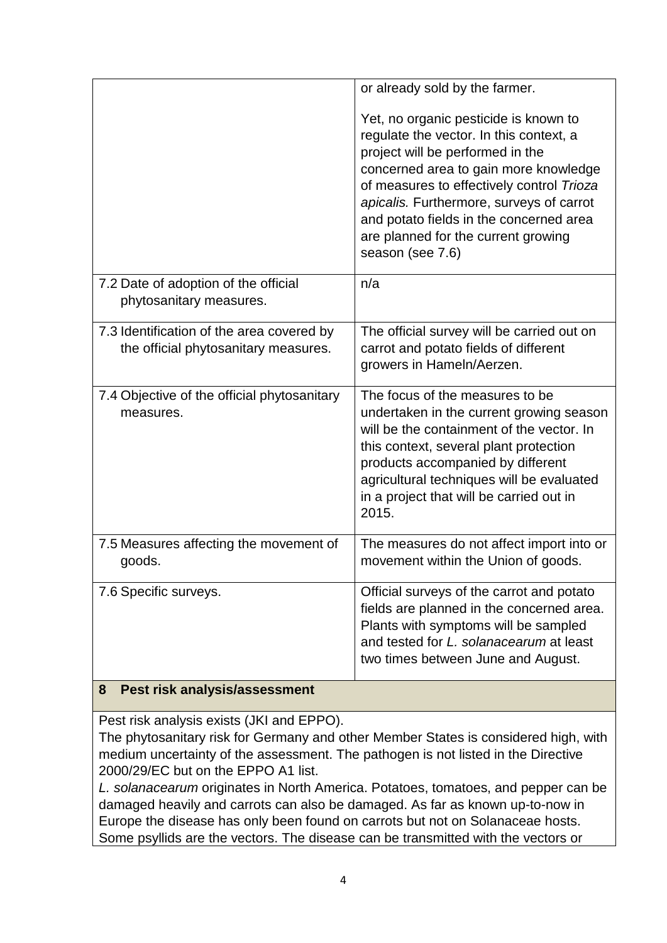| Yet, no organic pesticide is known to<br>regulate the vector. In this context, a<br>project will be performed in the<br>concerned area to gain more knowledge<br>of measures to effectively control Trioza<br>apicalis. Furthermore, surveys of carrot<br>and potato fields in the concerned area<br>are planned for the current growing<br>season (see 7.6) |
|--------------------------------------------------------------------------------------------------------------------------------------------------------------------------------------------------------------------------------------------------------------------------------------------------------------------------------------------------------------|
| n/a                                                                                                                                                                                                                                                                                                                                                          |
| The official survey will be carried out on<br>carrot and potato fields of different<br>growers in Hameln/Aerzen.                                                                                                                                                                                                                                             |
| The focus of the measures to be<br>undertaken in the current growing season<br>will be the containment of the vector. In<br>this context, several plant protection<br>products accompanied by different<br>agricultural techniques will be evaluated<br>in a project that will be carried out in<br>2015.                                                    |
| The measures do not affect import into or<br>movement within the Union of goods.                                                                                                                                                                                                                                                                             |
| Official surveys of the carrot and potato<br>fields are planned in the concerned area.<br>Plants with symptoms will be sampled<br>and tested for L. solanacearum at least<br>two times between June and August.                                                                                                                                              |
|                                                                                                                                                                                                                                                                                                                                                              |

#### **8 Pest risk analysis/assessment**

Pest risk analysis exists (JKI and EPPO).

The phytosanitary risk for Germany and other Member States is considered high, with medium uncertainty of the assessment. The pathogen is not listed in the Directive 2000/29/EC but on the EPPO A1 list.

*L. solanacearum* originates in North America. Potatoes, tomatoes, and pepper can be damaged heavily and carrots can also be damaged. As far as known up-to-now in Europe the disease has only been found on carrots but not on Solanaceae hosts. Some psyllids are the vectors. The disease can be transmitted with the vectors or